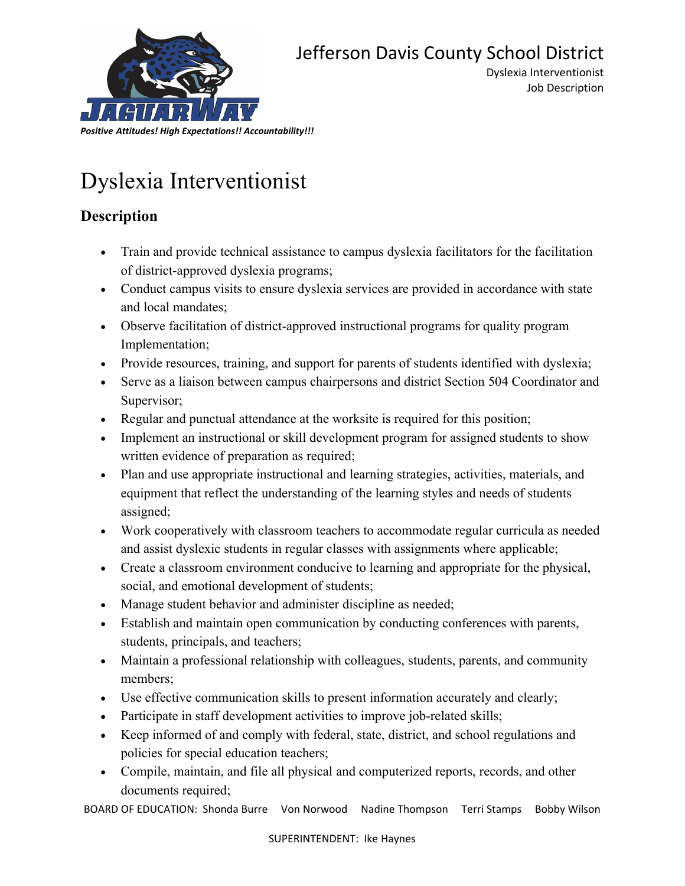

Job Description

## Dyslexia Interventionist

## **Description**

- Train and provide technical assistance to campus dyslexia facilitators for the facilitation of district-approved dyslexia programs;
- Conduct campus visits to ensure dyslexia services are provided in accordance with state and local mandates;
- Observe facilitation of district-approved instructional programs for quality program Implementation;
- Provide resources, training, and support for parents of students identified with dyslexia;
- Serve as a liaison between campus chairpersons and district Section 504 Coordinator and Supervisor;
- Regular and punctual attendance at the worksite is required for this position;
- Implement an instructional or skill development program for assigned students to show written evidence of preparation as required;
- Plan and use appropriate instructional and learning strategies, activities, materials, and equipment that reflect the understanding of the learning styles and needs of students assigned;
- Work cooperatively with classroom teachers to accommodate regular curricula as needed and assist dyslexic students in regular classes with assignments where applicable;
- Create a classroom environment conducive to learning and appropriate for the physical, social, and emotional development of students;
- Manage student behavior and administer discipline as needed;
- Establish and maintain open communication by conducting conferences with parents, students, principals, and teachers;
- Maintain a professional relationship with colleagues, students, parents, and community members;
- Use effective communication skills to present information accurately and clearly;
- Participate in staff development activities to improve job-related skills;
- Keep informed of and comply with federal, state, district, and school regulations and policies for special education teachers;
- Compile, maintain, and file all physical and computerized reports, records, and other documents required;

BOARD OF EDUCATION: Shonda Burre Von Norwood Nadine Thompson Terri Stamps Bobby Wilson